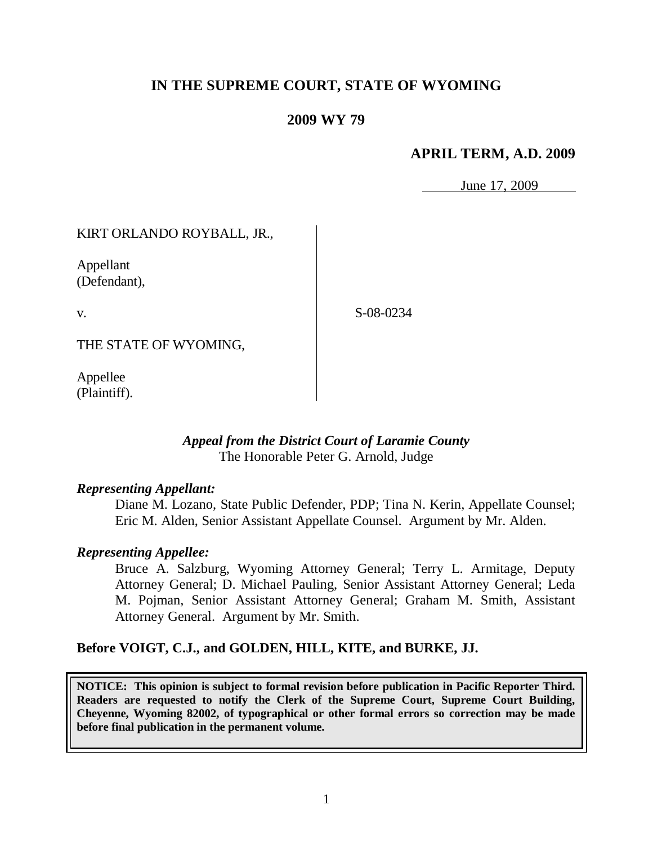# **IN THE SUPREME COURT, STATE OF WYOMING**

# **2009 WY 79**

# **APRIL TERM, A.D. 2009**

June 17, 2009

KIRT ORLANDO ROYBALL, JR.,

Appellant (Defendant),

v.

S-08-0234

THE STATE OF WYOMING,

Appellee (Plaintiff).

## *Appeal from the District Court of Laramie County* The Honorable Peter G. Arnold, Judge

#### *Representing Appellant:*

Diane M. Lozano, State Public Defender, PDP; Tina N. Kerin, Appellate Counsel; Eric M. Alden, Senior Assistant Appellate Counsel. Argument by Mr. Alden.

#### *Representing Appellee:*

Bruce A. Salzburg, Wyoming Attorney General; Terry L. Armitage, Deputy Attorney General; D. Michael Pauling, Senior Assistant Attorney General; Leda M. Pojman, Senior Assistant Attorney General; Graham M. Smith, Assistant Attorney General. Argument by Mr. Smith.

#### **Before VOIGT, C.J., and GOLDEN, HILL, KITE, and BURKE, JJ.**

**NOTICE: This opinion is subject to formal revision before publication in Pacific Reporter Third. Readers are requested to notify the Clerk of the Supreme Court, Supreme Court Building, Cheyenne, Wyoming 82002, of typographical or other formal errors so correction may be made before final publication in the permanent volume.**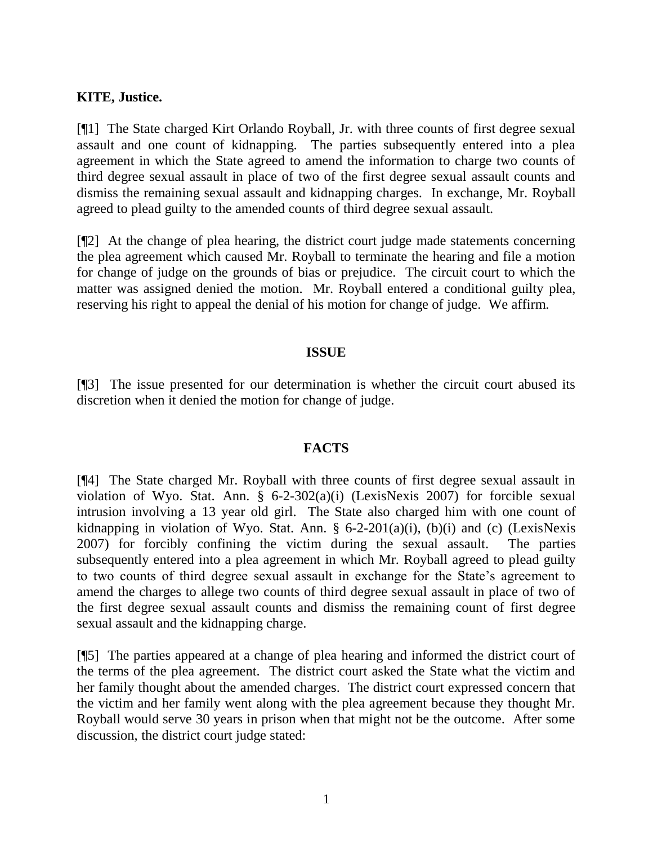# **KITE, Justice.**

[¶1] The State charged Kirt Orlando Royball, Jr. with three counts of first degree sexual assault and one count of kidnapping. The parties subsequently entered into a plea agreement in which the State agreed to amend the information to charge two counts of third degree sexual assault in place of two of the first degree sexual assault counts and dismiss the remaining sexual assault and kidnapping charges. In exchange, Mr. Royball agreed to plead guilty to the amended counts of third degree sexual assault.

[¶2] At the change of plea hearing, the district court judge made statements concerning the plea agreement which caused Mr. Royball to terminate the hearing and file a motion for change of judge on the grounds of bias or prejudice. The circuit court to which the matter was assigned denied the motion. Mr. Royball entered a conditional guilty plea, reserving his right to appeal the denial of his motion for change of judge. We affirm.

#### **ISSUE**

[¶3] The issue presented for our determination is whether the circuit court abused its discretion when it denied the motion for change of judge.

## **FACTS**

[¶4] The State charged Mr. Royball with three counts of first degree sexual assault in violation of Wyo. Stat. Ann. § 6-2-302(a)(i) (LexisNexis 2007) for forcible sexual intrusion involving a 13 year old girl. The State also charged him with one count of kidnapping in violation of Wyo. Stat. Ann. §  $6-2-201(a)(i)$ ,  $(b)(i)$  and  $(c)$  (LexisNexis 2007) for forcibly confining the victim during the sexual assault. The parties subsequently entered into a plea agreement in which Mr. Royball agreed to plead guilty to two counts of third degree sexual assault in exchange for the State's agreement to amend the charges to allege two counts of third degree sexual assault in place of two of the first degree sexual assault counts and dismiss the remaining count of first degree sexual assault and the kidnapping charge.

[¶5] The parties appeared at a change of plea hearing and informed the district court of the terms of the plea agreement. The district court asked the State what the victim and her family thought about the amended charges. The district court expressed concern that the victim and her family went along with the plea agreement because they thought Mr. Royball would serve 30 years in prison when that might not be the outcome. After some discussion, the district court judge stated: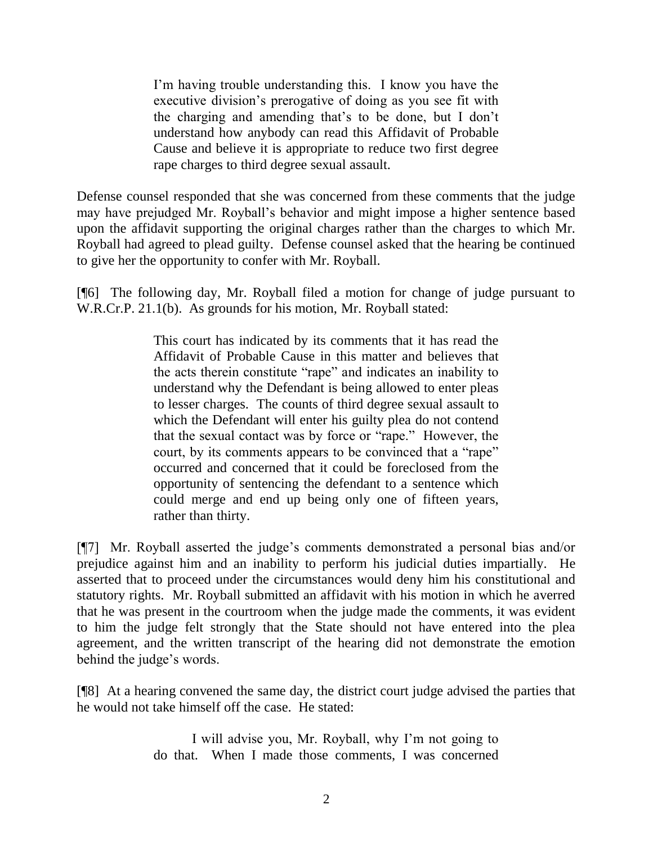I'm having trouble understanding this. I know you have the executive division's prerogative of doing as you see fit with the charging and amending that's to be done, but I don't understand how anybody can read this Affidavit of Probable Cause and believe it is appropriate to reduce two first degree rape charges to third degree sexual assault.

Defense counsel responded that she was concerned from these comments that the judge may have prejudged Mr. Royball's behavior and might impose a higher sentence based upon the affidavit supporting the original charges rather than the charges to which Mr. Royball had agreed to plead guilty. Defense counsel asked that the hearing be continued to give her the opportunity to confer with Mr. Royball.

[¶6] The following day, Mr. Royball filed a motion for change of judge pursuant to W.R.Cr.P. 21.1(b). As grounds for his motion, Mr. Royball stated:

> This court has indicated by its comments that it has read the Affidavit of Probable Cause in this matter and believes that the acts therein constitute "rape" and indicates an inability to understand why the Defendant is being allowed to enter pleas to lesser charges. The counts of third degree sexual assault to which the Defendant will enter his guilty plea do not contend that the sexual contact was by force or "rape." However, the court, by its comments appears to be convinced that a "rape" occurred and concerned that it could be foreclosed from the opportunity of sentencing the defendant to a sentence which could merge and end up being only one of fifteen years, rather than thirty.

[¶7] Mr. Royball asserted the judge's comments demonstrated a personal bias and/or prejudice against him and an inability to perform his judicial duties impartially. He asserted that to proceed under the circumstances would deny him his constitutional and statutory rights. Mr. Royball submitted an affidavit with his motion in which he averred that he was present in the courtroom when the judge made the comments, it was evident to him the judge felt strongly that the State should not have entered into the plea agreement, and the written transcript of the hearing did not demonstrate the emotion behind the judge's words.

[¶8] At a hearing convened the same day, the district court judge advised the parties that he would not take himself off the case. He stated:

> I will advise you, Mr. Royball, why I'm not going to do that. When I made those comments, I was concerned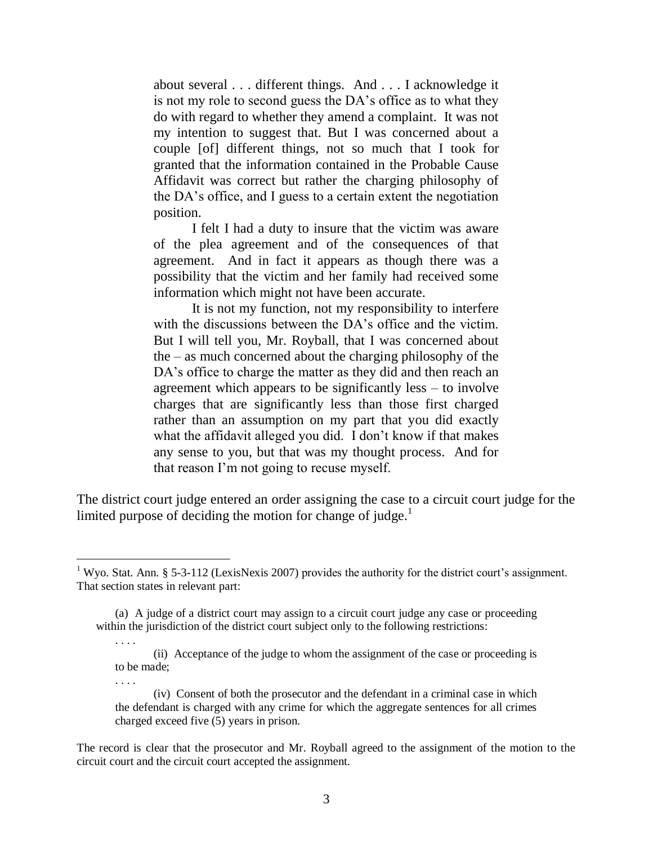about several . . . different things. And . . . I acknowledge it is not my role to second guess the DA's office as to what they do with regard to whether they amend a complaint. It was not my intention to suggest that. But I was concerned about a couple [of] different things, not so much that I took for granted that the information contained in the Probable Cause Affidavit was correct but rather the charging philosophy of the DA's office, and I guess to a certain extent the negotiation position.

I felt I had a duty to insure that the victim was aware of the plea agreement and of the consequences of that agreement. And in fact it appears as though there was a possibility that the victim and her family had received some information which might not have been accurate.

It is not my function, not my responsibility to interfere with the discussions between the DA's office and the victim. But I will tell you, Mr. Royball, that I was concerned about the – as much concerned about the charging philosophy of the DA's office to charge the matter as they did and then reach an agreement which appears to be significantly less – to involve charges that are significantly less than those first charged rather than an assumption on my part that you did exactly what the affidavit alleged you did. I don't know if that makes any sense to you, but that was my thought process. And for that reason I'm not going to recuse myself.

The district court judge entered an order assigning the case to a circuit court judge for the limited purpose of deciding the motion for change of judge. $<sup>1</sup>$ </sup>

 $\overline{a}$ 

. . . .

. . . .

<sup>&</sup>lt;sup>1</sup> Wyo. Stat. Ann. § 5-3-112 (LexisNexis 2007) provides the authority for the district court's assignment. That section states in relevant part:

<sup>(</sup>a) A judge of a district court may assign to a circuit court judge any case or proceeding within the jurisdiction of the district court subject only to the following restrictions:

<sup>(</sup>ii) Acceptance of the judge to whom the assignment of the case or proceeding is to be made;

<sup>(</sup>iv) Consent of both the prosecutor and the defendant in a criminal case in which the defendant is charged with any crime for which the aggregate sentences for all crimes charged exceed five (5) years in prison.

The record is clear that the prosecutor and Mr. Royball agreed to the assignment of the motion to the circuit court and the circuit court accepted the assignment.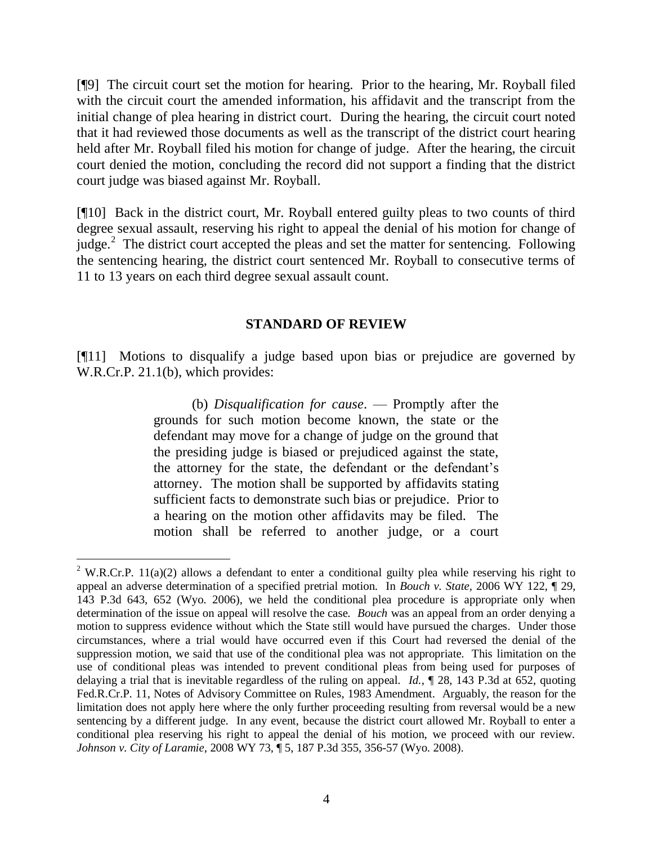[¶9] The circuit court set the motion for hearing. Prior to the hearing, Mr. Royball filed with the circuit court the amended information, his affidavit and the transcript from the initial change of plea hearing in district court. During the hearing, the circuit court noted that it had reviewed those documents as well as the transcript of the district court hearing held after Mr. Royball filed his motion for change of judge. After the hearing, the circuit court denied the motion, concluding the record did not support a finding that the district court judge was biased against Mr. Royball.

[¶10] Back in the district court, Mr. Royball entered guilty pleas to two counts of third degree sexual assault, reserving his right to appeal the denial of his motion for change of judge.<sup>2</sup> The district court accepted the pleas and set the matter for sentencing. Following the sentencing hearing, the district court sentenced Mr. Royball to consecutive terms of 11 to 13 years on each third degree sexual assault count.

## **STANDARD OF REVIEW**

[¶11] Motions to disqualify a judge based upon bias or prejudice are governed by W.R.Cr.P. 21.1(b), which provides:

> (b) *Disqualification for cause*. — Promptly after the grounds for such motion become known, the state or the defendant may move for a change of judge on the ground that the presiding judge is biased or prejudiced against the state, the attorney for the state, the defendant or the defendant's attorney. The motion shall be supported by affidavits stating sufficient facts to demonstrate such bias or prejudice. Prior to a hearing on the motion other affidavits may be filed. The motion shall be referred to another judge, or a court

 $\overline{a}$ 

 $2$  W.R.Cr.P. 11(a)(2) allows a defendant to enter a conditional guilty plea while reserving his right to appeal an adverse determination of a specified pretrial motion. In *Bouch v. State,* 2006 WY 122, ¶ 29, 143 P.3d 643, 652 (Wyo. 2006), we held the conditional plea procedure is appropriate only when determination of the issue on appeal will resolve the case. *Bouch* was an appeal from an order denying a motion to suppress evidence without which the State still would have pursued the charges. Under those circumstances, where a trial would have occurred even if this Court had reversed the denial of the suppression motion, we said that use of the conditional plea was not appropriate. This limitation on the use of conditional pleas was intended to prevent conditional pleas from being used for purposes of delaying a trial that is inevitable regardless of the ruling on appeal. *Id.*, ¶ 28, 143 P.3d at 652, quoting Fed.R.Cr.P. 11, Notes of Advisory Committee on Rules, 1983 Amendment. Arguably, the reason for the limitation does not apply here where the only further proceeding resulting from reversal would be a new sentencing by a different judge. In any event, because the district court allowed Mr. Royball to enter a conditional plea reserving his right to appeal the denial of his motion, we proceed with our review. *Johnson v. City of Laramie*, 2008 WY 73, ¶ 5, 187 P.3d 355, 356-57 (Wyo. 2008).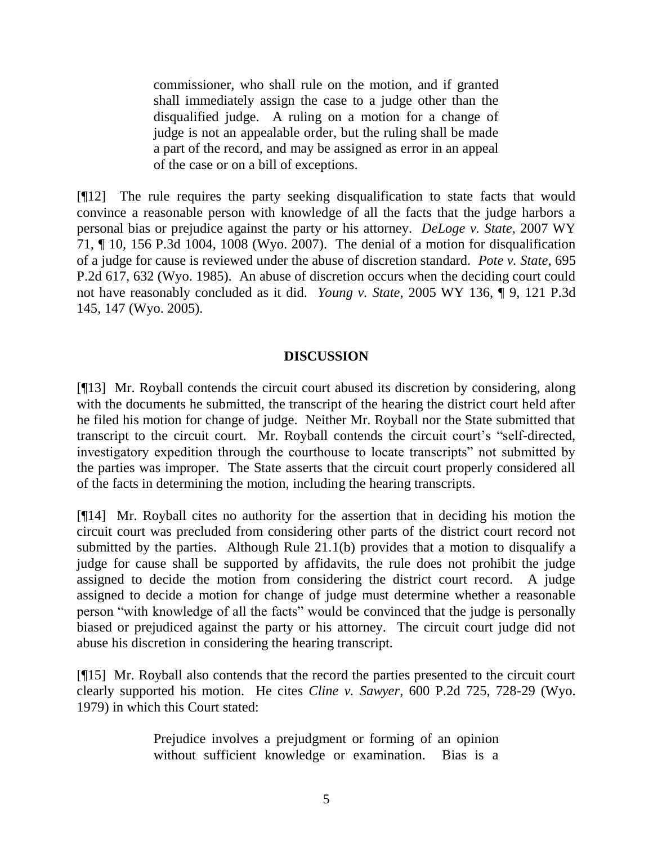commissioner, who shall rule on the motion, and if granted shall immediately assign the case to a judge other than the disqualified judge. A ruling on a motion for a change of judge is not an appealable order, but the ruling shall be made a part of the record, and may be assigned as error in an appeal of the case or on a bill of exceptions.

[¶12] The rule requires the party seeking disqualification to state facts that would convince a reasonable person with knowledge of all the facts that the judge harbors a personal bias or prejudice against the party or his attorney. *DeLoge v. State*, 2007 WY 71, ¶ 10, 156 P.3d 1004, 1008 (Wyo. 2007). The denial of a motion for disqualification of a judge for cause is reviewed under the abuse of discretion standard. *Pote v. State*, 695 P.2d 617, 632 (Wyo. 1985). An abuse of discretion occurs when the deciding court could not have reasonably concluded as it did. *Young v. State*, 2005 WY 136, ¶ 9, 121 P.3d 145, 147 (Wyo. 2005).

# **DISCUSSION**

[¶13] Mr. Royball contends the circuit court abused its discretion by considering, along with the documents he submitted, the transcript of the hearing the district court held after he filed his motion for change of judge. Neither Mr. Royball nor the State submitted that transcript to the circuit court. Mr. Royball contends the circuit court's "self-directed, investigatory expedition through the courthouse to locate transcripts" not submitted by the parties was improper. The State asserts that the circuit court properly considered all of the facts in determining the motion, including the hearing transcripts.

[¶14] Mr. Royball cites no authority for the assertion that in deciding his motion the circuit court was precluded from considering other parts of the district court record not submitted by the parties. Although Rule 21.1(b) provides that a motion to disqualify a judge for cause shall be supported by affidavits, the rule does not prohibit the judge assigned to decide the motion from considering the district court record. A judge assigned to decide a motion for change of judge must determine whether a reasonable person "with knowledge of all the facts" would be convinced that the judge is personally biased or prejudiced against the party or his attorney. The circuit court judge did not abuse his discretion in considering the hearing transcript.

[¶15] Mr. Royball also contends that the record the parties presented to the circuit court clearly supported his motion. He cites *Cline v. Sawyer*, 600 P.2d 725, 728-29 (Wyo. 1979) in which this Court stated:

> Prejudice involves a prejudgment or forming of an opinion without sufficient knowledge or examination. Bias is a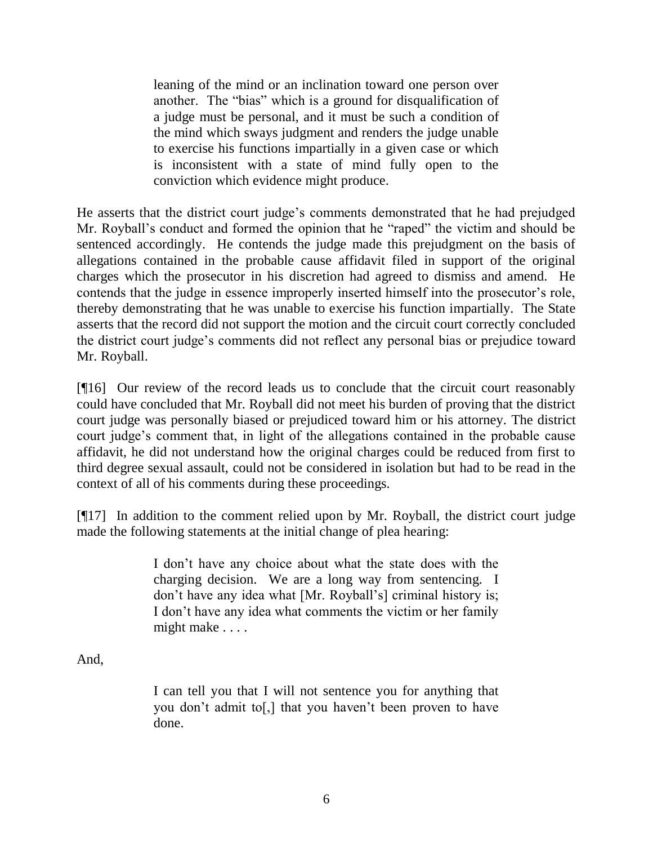leaning of the mind or an inclination toward one person over another. The "bias" which is a ground for disqualification of a judge must be personal, and it must be such a condition of the mind which sways judgment and renders the judge unable to exercise his functions impartially in a given case or which is inconsistent with a state of mind fully open to the conviction which evidence might produce.

He asserts that the district court judge's comments demonstrated that he had prejudged Mr. Royball's conduct and formed the opinion that he "raped" the victim and should be sentenced accordingly. He contends the judge made this prejudgment on the basis of allegations contained in the probable cause affidavit filed in support of the original charges which the prosecutor in his discretion had agreed to dismiss and amend. He contends that the judge in essence improperly inserted himself into the prosecutor's role, thereby demonstrating that he was unable to exercise his function impartially. The State asserts that the record did not support the motion and the circuit court correctly concluded the district court judge's comments did not reflect any personal bias or prejudice toward Mr. Royball.

[¶16] Our review of the record leads us to conclude that the circuit court reasonably could have concluded that Mr. Royball did not meet his burden of proving that the district court judge was personally biased or prejudiced toward him or his attorney. The district court judge's comment that, in light of the allegations contained in the probable cause affidavit, he did not understand how the original charges could be reduced from first to third degree sexual assault, could not be considered in isolation but had to be read in the context of all of his comments during these proceedings.

[¶17] In addition to the comment relied upon by Mr. Royball, the district court judge made the following statements at the initial change of plea hearing:

> I don't have any choice about what the state does with the charging decision. We are a long way from sentencing. I don't have any idea what [Mr. Royball's] criminal history is; I don't have any idea what comments the victim or her family might make . . . .

And,

I can tell you that I will not sentence you for anything that you don't admit to[,] that you haven't been proven to have done.